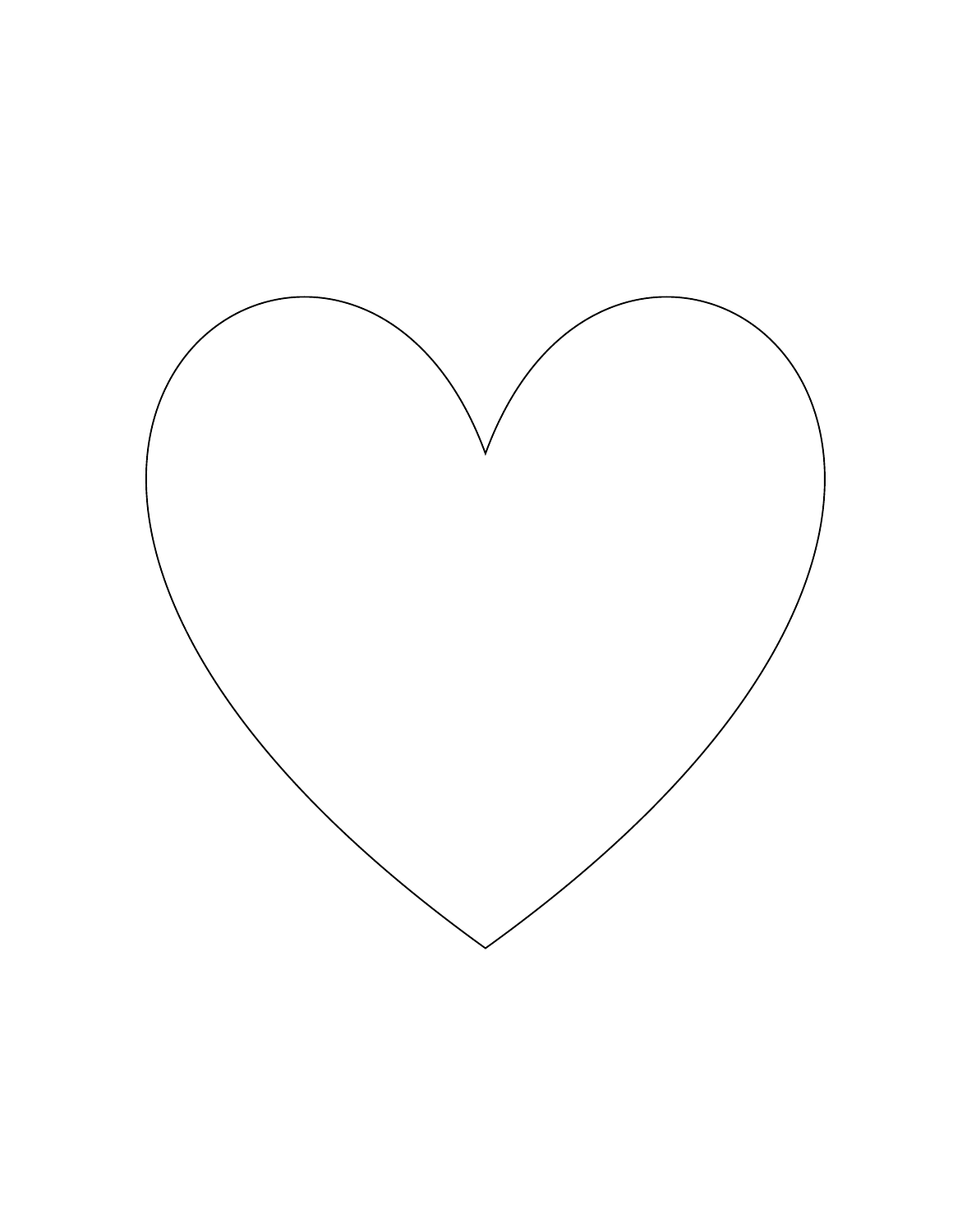